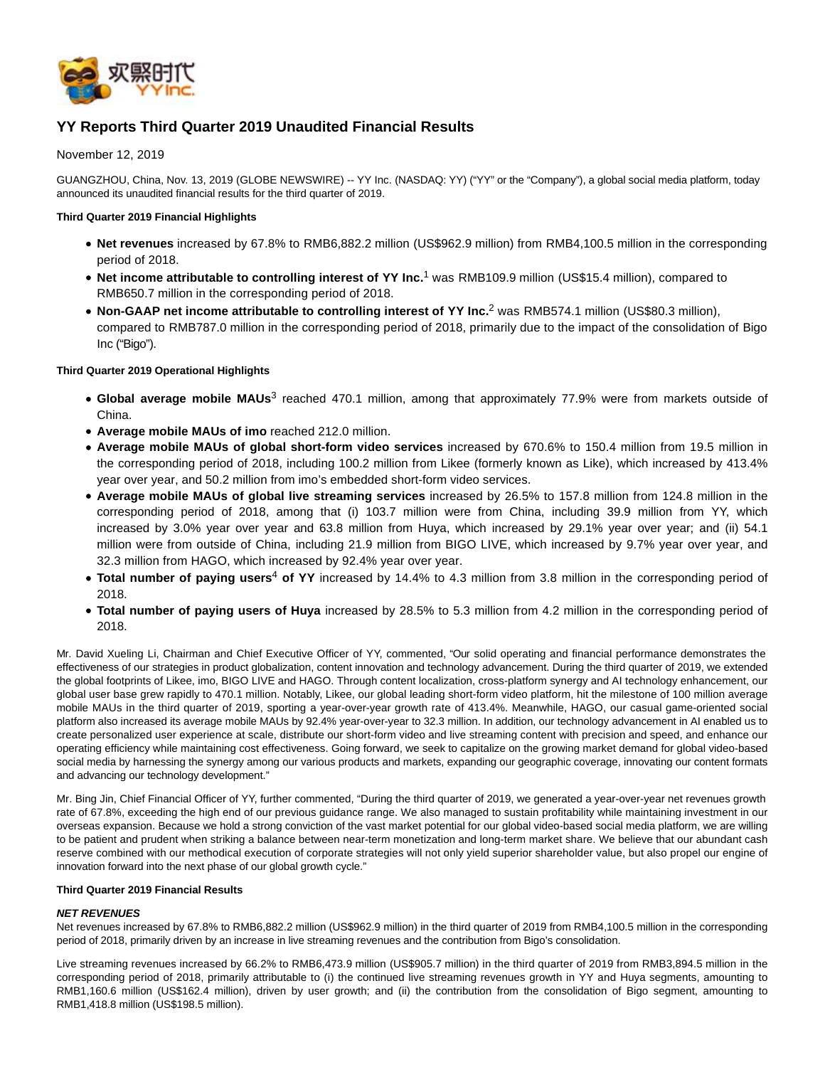

# **YY Reports Third Quarter 2019 Unaudited Financial Results**

# November 12, 2019

GUANGZHOU, China, Nov. 13, 2019 (GLOBE NEWSWIRE) -- YY Inc. (NASDAQ: YY) ("YY" or the "Company"), a global social media platform, today announced its unaudited financial results for the third quarter of 2019.

## **Third Quarter 2019 Financial Highlights**

- **Net revenues** increased by 67.8% to RMB6,882.2 million (US\$962.9 million) from RMB4,100.5 million in the corresponding period of 2018.
- Net income attributable to controlling interest of YY Inc.<sup>1</sup> was RMB109.9 million (US\$15.4 million), compared to RMB650.7 million in the corresponding period of 2018.
- Non-GAAP net income attributable to controlling interest of YY Inc.<sup>2</sup> was RMB574.1 million (US\$80.3 million), compared to RMB787.0 million in the corresponding period of 2018, primarily due to the impact of the consolidation of Bigo Inc ("Bigo").

## **Third Quarter 2019 Operational Highlights**

- Global average mobile MAUs<sup>3</sup> reached 470.1 million, among that approximately 77.9% were from markets outside of China.
- **Average mobile MAUs of imo** reached 212.0 million.
- **Average mobile MAUs of global short-form video services** increased by 670.6% to 150.4 million from 19.5 million in the corresponding period of 2018, including 100.2 million from Likee (formerly known as Like), which increased by 413.4% year over year, and 50.2 million from imo's embedded short-form video services.
- **Average mobile MAUs of global live streaming services** increased by 26.5% to 157.8 million from 124.8 million in the corresponding period of 2018, among that (i) 103.7 million were from China, including 39.9 million from YY, which increased by 3.0% year over year and 63.8 million from Huya, which increased by 29.1% year over year; and (ii) 54.1 million were from outside of China, including 21.9 million from BIGO LIVE, which increased by 9.7% year over year, and 32.3 million from HAGO, which increased by 92.4% year over year.
- Total number of paying users<sup>4</sup> of YY increased by 14.4% to 4.3 million from 3.8 million in the corresponding period of 2018.
- **Total number of paying users of Huya** increased by 28.5% to 5.3 million from 4.2 million in the corresponding period of 2018.

Mr. David Xueling Li, Chairman and Chief Executive Officer of YY, commented, "Our solid operating and financial performance demonstrates the effectiveness of our strategies in product globalization, content innovation and technology advancement. During the third quarter of 2019, we extended the global footprints of Likee, imo, BIGO LIVE and HAGO. Through content localization, cross-platform synergy and AI technology enhancement, our global user base grew rapidly to 470.1 million. Notably, Likee, our global leading short-form video platform, hit the milestone of 100 million average mobile MAUs in the third quarter of 2019, sporting a year-over-year growth rate of 413.4%. Meanwhile, HAGO, our casual game-oriented social platform also increased its average mobile MAUs by 92.4% year-over-year to 32.3 million. In addition, our technology advancement in AI enabled us to create personalized user experience at scale, distribute our short-form video and live streaming content with precision and speed, and enhance our operating efficiency while maintaining cost effectiveness. Going forward, we seek to capitalize on the growing market demand for global video-based social media by harnessing the synergy among our various products and markets, expanding our geographic coverage, innovating our content formats and advancing our technology development."

Mr. Bing Jin, Chief Financial Officer of YY, further commented, "During the third quarter of 2019, we generated a year-over-year net revenues growth rate of 67.8%, exceeding the high end of our previous guidance range. We also managed to sustain profitability while maintaining investment in our overseas expansion. Because we hold a strong conviction of the vast market potential for our global video-based social media platform, we are willing to be patient and prudent when striking a balance between near-term monetization and long-term market share. We believe that our abundant cash reserve combined with our methodical execution of corporate strategies will not only yield superior shareholder value, but also propel our engine of innovation forward into the next phase of our global growth cycle."

# **Third Quarter 2019 Financial Results**

## **NET REVENUES**

Net revenues increased by 67.8% to RMB6,882.2 million (US\$962.9 million) in the third quarter of 2019 from RMB4,100.5 million in the corresponding period of 2018, primarily driven by an increase in live streaming revenues and the contribution from Bigo's consolidation.

Live streaming revenues increased by 66.2% to RMB6,473.9 million (US\$905.7 million) in the third quarter of 2019 from RMB3,894.5 million in the corresponding period of 2018, primarily attributable to (i) the continued live streaming revenues growth in YY and Huya segments, amounting to RMB1,160.6 million (US\$162.4 million), driven by user growth; and (ii) the contribution from the consolidation of Bigo segment, amounting to RMB1,418.8 million (US\$198.5 million).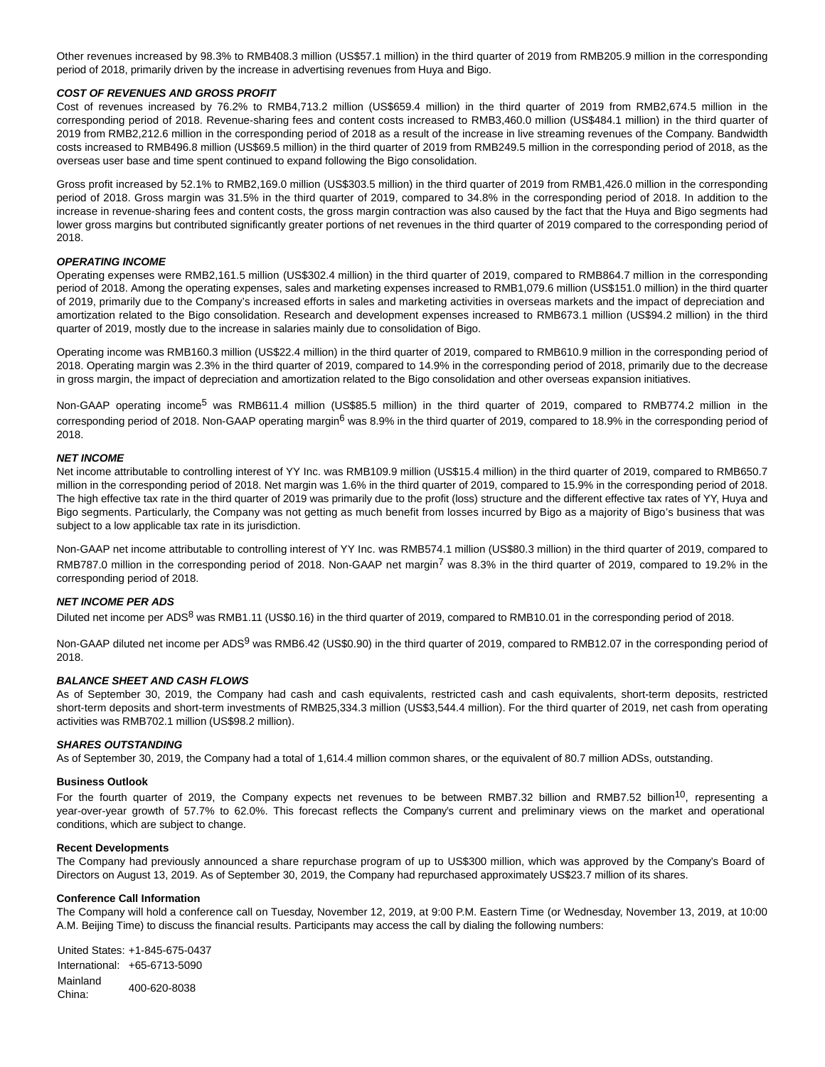Other revenues increased by 98.3% to RMB408.3 million (US\$57.1 million) in the third quarter of 2019 from RMB205.9 million in the corresponding period of 2018, primarily driven by the increase in advertising revenues from Huya and Bigo.

#### **COST OF REVENUES AND GROSS PROFIT**

Cost of revenues increased by 76.2% to RMB4,713.2 million (US\$659.4 million) in the third quarter of 2019 from RMB2,674.5 million in the corresponding period of 2018. Revenue-sharing fees and content costs increased to RMB3,460.0 million (US\$484.1 million) in the third quarter of 2019 from RMB2,212.6 million in the corresponding period of 2018 as a result of the increase in live streaming revenues of the Company. Bandwidth costs increased to RMB496.8 million (US\$69.5 million) in the third quarter of 2019 from RMB249.5 million in the corresponding period of 2018, as the overseas user base and time spent continued to expand following the Bigo consolidation.

Gross profit increased by 52.1% to RMB2,169.0 million (US\$303.5 million) in the third quarter of 2019 from RMB1,426.0 million in the corresponding period of 2018. Gross margin was 31.5% in the third quarter of 2019, compared to 34.8% in the corresponding period of 2018. In addition to the increase in revenue-sharing fees and content costs, the gross margin contraction was also caused by the fact that the Huya and Bigo segments had lower gross margins but contributed significantly greater portions of net revenues in the third quarter of 2019 compared to the corresponding period of 2018.

#### **OPERATING INCOME**

Operating expenses were RMB2,161.5 million (US\$302.4 million) in the third quarter of 2019, compared to RMB864.7 million in the corresponding period of 2018. Among the operating expenses, sales and marketing expenses increased to RMB1,079.6 million (US\$151.0 million) in the third quarter of 2019, primarily due to the Company's increased efforts in sales and marketing activities in overseas markets and the impact of depreciation and amortization related to the Bigo consolidation. Research and development expenses increased to RMB673.1 million (US\$94.2 million) in the third quarter of 2019, mostly due to the increase in salaries mainly due to consolidation of Bigo.

Operating income was RMB160.3 million (US\$22.4 million) in the third quarter of 2019, compared to RMB610.9 million in the corresponding period of 2018. Operating margin was 2.3% in the third quarter of 2019, compared to 14.9% in the corresponding period of 2018, primarily due to the decrease in gross margin, the impact of depreciation and amortization related to the Bigo consolidation and other overseas expansion initiatives.

Non-GAAP operating income<sup>5</sup> was RMB611.4 million (US\$85.5 million) in the third quarter of 2019, compared to RMB774.2 million in the corresponding period of 2018. Non-GAAP operating margin<sup>6</sup> was 8.9% in the third quarter of 2019, compared to 18.9% in the corresponding period of 2018.

#### **NET INCOME**

Net income attributable to controlling interest of YY Inc. was RMB109.9 million (US\$15.4 million) in the third quarter of 2019, compared to RMB650.7 million in the corresponding period of 2018. Net margin was 1.6% in the third quarter of 2019, compared to 15.9% in the corresponding period of 2018. The high effective tax rate in the third quarter of 2019 was primarily due to the profit (loss) structure and the different effective tax rates of YY, Huya and Bigo segments. Particularly, the Company was not getting as much benefit from losses incurred by Bigo as a majority of Bigo's business that was subject to a low applicable tax rate in its jurisdiction.

Non-GAAP net income attributable to controlling interest of YY Inc. was RMB574.1 million (US\$80.3 million) in the third quarter of 2019, compared to RMB787.0 million in the corresponding period of 2018. Non-GAAP net margin<sup>7</sup> was 8.3% in the third quarter of 2019, compared to 19.2% in the corresponding period of 2018.

#### **NET INCOME PER ADS**

Diluted net income per ADS<sup>8</sup> was RMB1.11 (US\$0.16) in the third quarter of 2019, compared to RMB10.01 in the corresponding period of 2018.

Non-GAAP diluted net income per ADS<sup>9</sup> was RMB6.42 (US\$0.90) in the third quarter of 2019, compared to RMB12.07 in the corresponding period of 2018.

## **BALANCE SHEET AND CASH FLOWS**

As of September 30, 2019, the Company had cash and cash equivalents, restricted cash and cash equivalents, short-term deposits, restricted short-term deposits and short-term investments of RMB25,334.3 million (US\$3,544.4 million). For the third quarter of 2019, net cash from operating activities was RMB702.1 million (US\$98.2 million).

#### **SHARES OUTSTANDING**

As of September 30, 2019, the Company had a total of 1,614.4 million common shares, or the equivalent of 80.7 million ADSs, outstanding.

#### **Business Outlook**

For the fourth quarter of 2019, the Company expects net revenues to be between RMB7.32 billion and RMB7.52 billion<sup>10</sup>, representing a year-over-year growth of 57.7% to 62.0%. This forecast reflects the Company's current and preliminary views on the market and operational conditions, which are subject to change.

#### **Recent Developments**

The Company had previously announced a share repurchase program of up to US\$300 million, which was approved by the Company's Board of Directors on August 13, 2019. As of September 30, 2019, the Company had repurchased approximately US\$23.7 million of its shares.

#### **Conference Call Information**

The Company will hold a conference call on Tuesday, November 12, 2019, at 9:00 P.M. Eastern Time (or Wednesday, November 13, 2019, at 10:00 A.M. Beijing Time) to discuss the financial results. Participants may access the call by dialing the following numbers:

United States: +1-845-675-0437 International: +65-6713-5090 Mainland Maillianu 400-620-8038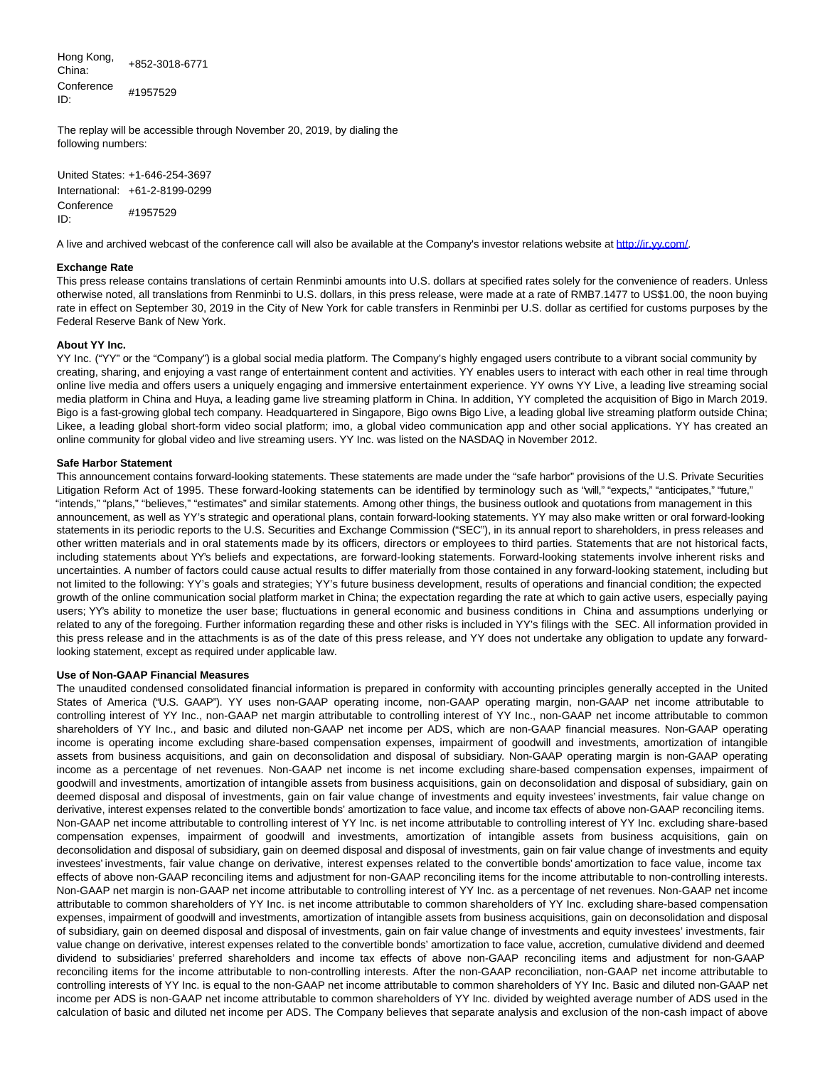Hong Kong, China: +852-3018-6771 **Conference** <u>ID:</u> #1957529

The replay will be accessible through November 20, 2019, by dialing the following numbers:

United States: +1-646-254-3697 International: +61-2-8199-0299 **Conference** Connerence #1957529

A live and archived webcast of the conference call will also be available at the Company's investor relations website at [http://ir.yy.com/.](https://www.globenewswire.com/Tracker?data=Dma6Dq0AR0iw2RaXJYlo_e09qm8mrufV3ve3NpcqJkvSHj-7ZlqKWFuVNxlStYNVmy8q_xq-d-Fa8a4BI7go5w==)

#### **Exchange Rate**

This press release contains translations of certain Renminbi amounts into U.S. dollars at specified rates solely for the convenience of readers. Unless otherwise noted, all translations from Renminbi to U.S. dollars, in this press release, were made at a rate of RMB7.1477 to US\$1.00, the noon buying rate in effect on September 30, 2019 in the City of New York for cable transfers in Renminbi per U.S. dollar as certified for customs purposes by the Federal Reserve Bank of New York.

## **About YY Inc.**

YY Inc. ("YY" or the "Company") is a global social media platform. The Company's highly engaged users contribute to a vibrant social community by creating, sharing, and enjoying a vast range of entertainment content and activities. YY enables users to interact with each other in real time through online live media and offers users a uniquely engaging and immersive entertainment experience. YY owns YY Live, a leading live streaming social media platform in China and Huya, a leading game live streaming platform in China. In addition, YY completed the acquisition of Bigo in March 2019. Bigo is a fast-growing global tech company. Headquartered in Singapore, Bigo owns Bigo Live, a leading global live streaming platform outside China; Likee, a leading global short-form video social platform; imo, a global video communication app and other social applications. YY has created an online community for global video and live streaming users. YY Inc. was listed on the NASDAQ in November 2012.

#### **Safe Harbor Statement**

This announcement contains forward-looking statements. These statements are made under the "safe harbor" provisions of the U.S. Private Securities Litigation Reform Act of 1995. These forward-looking statements can be identified by terminology such as "will," "expects," "anticipates," "future," "intends," "plans," "believes," "estimates" and similar statements. Among other things, the business outlook and quotations from management in this announcement, as well as YY's strategic and operational plans, contain forward-looking statements. YY may also make written or oral forward-looking statements in its periodic reports to the U.S. Securities and Exchange Commission ("SEC"), in its annual report to shareholders, in press releases and other written materials and in oral statements made by its officers, directors or employees to third parties. Statements that are not historical facts, including statements about YY's beliefs and expectations, are forward-looking statements. Forward-looking statements involve inherent risks and uncertainties. A number of factors could cause actual results to differ materially from those contained in any forward-looking statement, including but not limited to the following: YY's goals and strategies; YY's future business development, results of operations and financial condition; the expected growth of the online communication social platform market in China; the expectation regarding the rate at which to gain active users, especially paying users; YY's ability to monetize the user base; fluctuations in general economic and business conditions in China and assumptions underlying or related to any of the foregoing. Further information regarding these and other risks is included in YY's filings with the SEC. All information provided in this press release and in the attachments is as of the date of this press release, and YY does not undertake any obligation to update any forwardlooking statement, except as required under applicable law.

#### **Use of Non-GAAP Financial Measures**

The unaudited condensed consolidated financial information is prepared in conformity with accounting principles generally accepted in the United States of America ("U.S. GAAP"). YY uses non-GAAP operating income, non-GAAP operating margin, non-GAAP net income attributable to controlling interest of YY Inc., non-GAAP net margin attributable to controlling interest of YY Inc., non-GAAP net income attributable to common shareholders of YY Inc., and basic and diluted non-GAAP net income per ADS, which are non-GAAP financial measures. Non-GAAP operating income is operating income excluding share-based compensation expenses, impairment of goodwill and investments, amortization of intangible assets from business acquisitions, and gain on deconsolidation and disposal of subsidiary. Non-GAAP operating margin is non-GAAP operating income as a percentage of net revenues. Non-GAAP net income is net income excluding share-based compensation expenses, impairment of goodwill and investments, amortization of intangible assets from business acquisitions, gain on deconsolidation and disposal of subsidiary, gain on deemed disposal and disposal of investments, gain on fair value change of investments and equity investees' investments, fair value change on derivative, interest expenses related to the convertible bonds' amortization to face value, and income tax effects of above non-GAAP reconciling items. Non-GAAP net income attributable to controlling interest of YY Inc. is net income attributable to controlling interest of YY Inc. excluding share-based compensation expenses, impairment of goodwill and investments, amortization of intangible assets from business acquisitions, gain on deconsolidation and disposal of subsidiary, gain on deemed disposal and disposal of investments, gain on fair value change of investments and equity investees' investments, fair value change on derivative, interest expenses related to the convertible bonds' amortization to face value, income tax effects of above non-GAAP reconciling items and adjustment for non-GAAP reconciling items for the income attributable to non-controlling interests. Non-GAAP net margin is non-GAAP net income attributable to controlling interest of YY Inc. as a percentage of net revenues. Non-GAAP net income attributable to common shareholders of YY Inc. is net income attributable to common shareholders of YY Inc. excluding share-based compensation expenses, impairment of goodwill and investments, amortization of intangible assets from business acquisitions, gain on deconsolidation and disposal of subsidiary, gain on deemed disposal and disposal of investments, gain on fair value change of investments and equity investees' investments, fair value change on derivative, interest expenses related to the convertible bonds' amortization to face value, accretion, cumulative dividend and deemed dividend to subsidiaries' preferred shareholders and income tax effects of above non-GAAP reconciling items and adjustment for non-GAAP reconciling items for the income attributable to non-controlling interests. After the non-GAAP reconciliation, non-GAAP net income attributable to controlling interests of YY Inc. is equal to the non-GAAP net income attributable to common shareholders of YY Inc. Basic and diluted non-GAAP net income per ADS is non-GAAP net income attributable to common shareholders of YY Inc. divided by weighted average number of ADS used in the calculation of basic and diluted net income per ADS. The Company believes that separate analysis and exclusion of the non-cash impact of above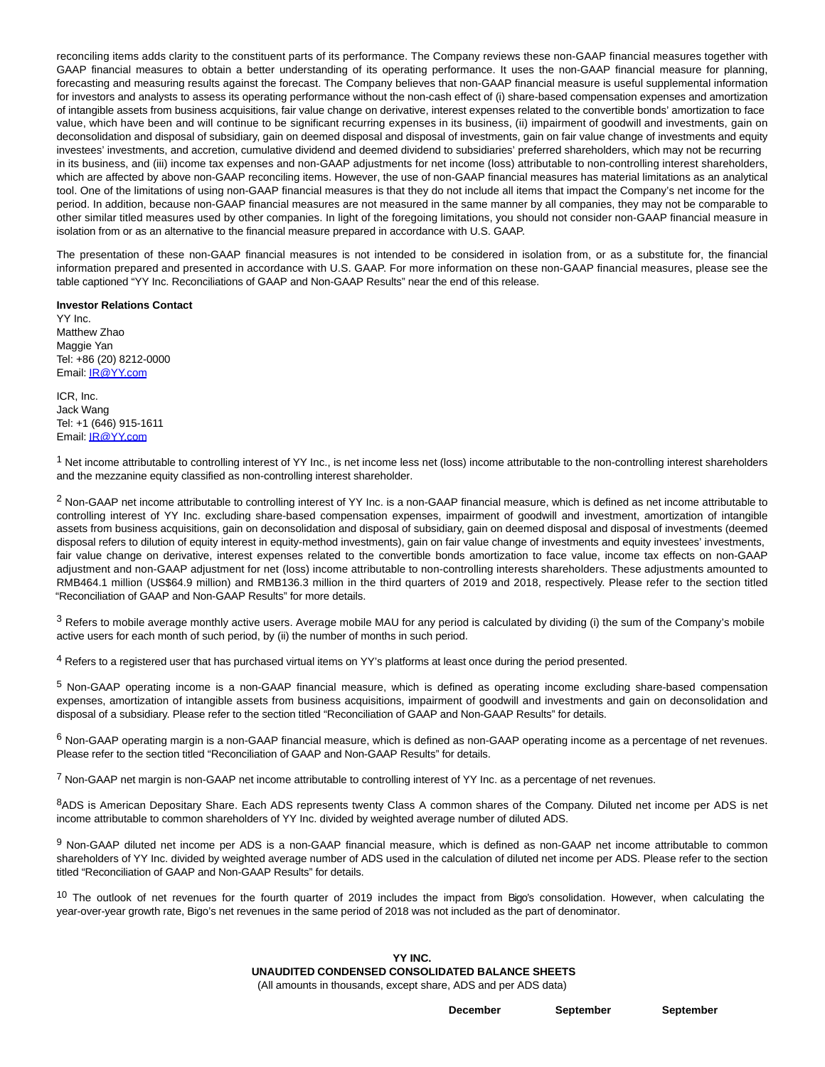reconciling items adds clarity to the constituent parts of its performance. The Company reviews these non-GAAP financial measures together with GAAP financial measures to obtain a better understanding of its operating performance. It uses the non-GAAP financial measure for planning, forecasting and measuring results against the forecast. The Company believes that non-GAAP financial measure is useful supplemental information for investors and analysts to assess its operating performance without the non-cash effect of (i) share-based compensation expenses and amortization of intangible assets from business acquisitions, fair value change on derivative, interest expenses related to the convertible bonds' amortization to face value, which have been and will continue to be significant recurring expenses in its business, (ii) impairment of goodwill and investments, gain on deconsolidation and disposal of subsidiary, gain on deemed disposal and disposal of investments, gain on fair value change of investments and equity investees' investments, and accretion, cumulative dividend and deemed dividend to subsidiaries' preferred shareholders, which may not be recurring in its business, and (iii) income tax expenses and non-GAAP adjustments for net income (loss) attributable to non-controlling interest shareholders, which are affected by above non-GAAP reconciling items. However, the use of non-GAAP financial measures has material limitations as an analytical tool. One of the limitations of using non-GAAP financial measures is that they do not include all items that impact the Company's net income for the period. In addition, because non-GAAP financial measures are not measured in the same manner by all companies, they may not be comparable to other similar titled measures used by other companies. In light of the foregoing limitations, you should not consider non-GAAP financial measure in isolation from or as an alternative to the financial measure prepared in accordance with U.S. GAAP.

The presentation of these non-GAAP financial measures is not intended to be considered in isolation from, or as a substitute for, the financial information prepared and presented in accordance with U.S. GAAP. For more information on these non-GAAP financial measures, please see the table captioned "YY Inc. Reconciliations of GAAP and Non-GAAP Results" near the end of this release.

#### **Investor Relations Contact**

YY Inc. Matthew Zhao Maggie Yan Tel: +86 (20) 8212-0000 Email[: IR@YY.com](https://www.globenewswire.com/Tracker?data=jW810dYQG-_5ImXoz6ygoiiOwaIJSWFlfZIVuXkkZFuf7SyrosdJmEsHtweJ60HF)

ICR, Inc. Jack Wang Tel: +1 (646) 915-1611 Email[: IR@YY.com](https://www.globenewswire.com/Tracker?data=jW810dYQG-_5ImXoz6ygomic8G1fGirTBgwzltrCF8MMPqL9dFJgeDb16soglTj5)

 $1$  Net income attributable to controlling interest of YY Inc., is net income less net (loss) income attributable to the non-controlling interest shareholders and the mezzanine equity classified as non-controlling interest shareholder.

2 Non-GAAP net income attributable to controlling interest of YY Inc. is a non-GAAP financial measure, which is defined as net income attributable to controlling interest of YY Inc. excluding share-based compensation expenses, impairment of goodwill and investment, amortization of intangible assets from business acquisitions, gain on deconsolidation and disposal of subsidiary, gain on deemed disposal and disposal of investments (deemed disposal refers to dilution of equity interest in equity-method investments), gain on fair value change of investments and equity investees' investments, fair value change on derivative, interest expenses related to the convertible bonds amortization to face value, income tax effects on non-GAAP adjustment and non-GAAP adjustment for net (loss) income attributable to non-controlling interests shareholders. These adjustments amounted to RMB464.1 million (US\$64.9 million) and RMB136.3 million in the third quarters of 2019 and 2018, respectively. Please refer to the section titled "Reconciliation of GAAP and Non-GAAP Results" for more details.

 $3$  Refers to mobile average monthly active users. Average mobile MAU for any period is calculated by dividing (i) the sum of the Company's mobile active users for each month of such period, by (ii) the number of months in such period.

4 Refers to a registered user that has purchased virtual items on YY's platforms at least once during the period presented.

5 Non-GAAP operating income is a non-GAAP financial measure, which is defined as operating income excluding share-based compensation expenses, amortization of intangible assets from business acquisitions, impairment of goodwill and investments and gain on deconsolidation and disposal of a subsidiary. Please refer to the section titled "Reconciliation of GAAP and Non-GAAP Results" for details.

 $6$  Non-GAAP operating margin is a non-GAAP financial measure, which is defined as non-GAAP operating income as a percentage of net revenues. Please refer to the section titled "Reconciliation of GAAP and Non-GAAP Results" for details.

 $7$  Non-GAAP net margin is non-GAAP net income attributable to controlling interest of YY Inc. as a percentage of net revenues.

8ADS is American Depositary Share. Each ADS represents twenty Class A common shares of the Company. Diluted net income per ADS is net income attributable to common shareholders of YY Inc. divided by weighted average number of diluted ADS.

9 Non-GAAP diluted net income per ADS is a non-GAAP financial measure, which is defined as non-GAAP net income attributable to common shareholders of YY Inc. divided by weighted average number of ADS used in the calculation of diluted net income per ADS. Please refer to the section titled "Reconciliation of GAAP and Non-GAAP Results" for details.

<sup>10</sup> The outlook of net revenues for the fourth quarter of 2019 includes the impact from Bigo's consolidation. However, when calculating the year-over-year growth rate, Bigo's net revenues in the same period of 2018 was not included as the part of denominator.

> **YY INC. UNAUDITED CONDENSED CONSOLIDATED BALANCE SHEETS** (All amounts in thousands, except share, ADS and per ADS data)

> > **December September September**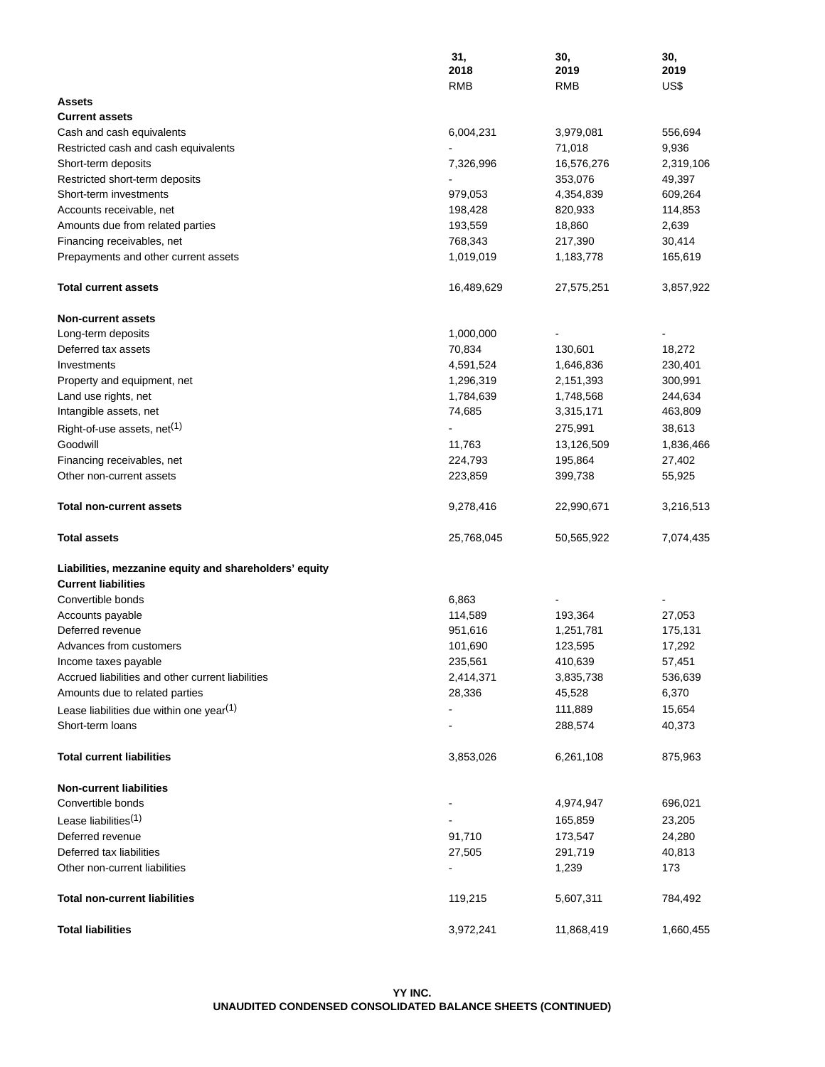|                                                              | 31,<br>2018              | 30,<br>2019          | 30,<br>2019        |
|--------------------------------------------------------------|--------------------------|----------------------|--------------------|
|                                                              | <b>RMB</b>               | RMB                  | US\$               |
| Assets                                                       |                          |                      |                    |
| <b>Current assets</b>                                        |                          |                      |                    |
| Cash and cash equivalents                                    | 6,004,231                | 3,979,081            | 556,694            |
| Restricted cash and cash equivalents                         |                          | 71,018               | 9,936              |
| Short-term deposits                                          | 7,326,996                | 16,576,276           | 2,319,106          |
| Restricted short-term deposits<br>Short-term investments     |                          | 353,076              | 49,397             |
|                                                              | 979,053                  | 4,354,839<br>820,933 | 609,264<br>114,853 |
| Accounts receivable, net<br>Amounts due from related parties | 198,428<br>193,559       | 18,860               | 2,639              |
| Financing receivables, net                                   | 768,343                  | 217,390              | 30,414             |
| Prepayments and other current assets                         | 1,019,019                | 1,183,778            | 165,619            |
|                                                              |                          |                      |                    |
| <b>Total current assets</b>                                  | 16,489,629               | 27,575,251           | 3,857,922          |
| <b>Non-current assets</b>                                    |                          |                      |                    |
| Long-term deposits                                           | 1,000,000                |                      |                    |
| Deferred tax assets                                          | 70,834                   | 130,601              | 18,272             |
| Investments                                                  | 4,591,524                | 1,646,836            | 230,401            |
| Property and equipment, net                                  | 1,296,319                | 2,151,393            | 300,991            |
| Land use rights, net                                         | 1,784,639                | 1,748,568            | 244,634            |
| Intangible assets, net                                       | 74,685                   | 3,315,171            | 463,809            |
| Right-of-use assets, net <sup>(1)</sup>                      | $\overline{\phantom{a}}$ | 275,991              | 38,613             |
| Goodwill                                                     | 11,763                   | 13,126,509           | 1,836,466          |
| Financing receivables, net                                   | 224,793                  | 195,864              | 27,402             |
| Other non-current assets                                     | 223,859                  | 399,738              | 55,925             |
| <b>Total non-current assets</b>                              | 9,278,416                | 22,990,671           | 3,216,513          |
| <b>Total assets</b>                                          | 25,768,045               | 50,565,922           | 7,074,435          |
| Liabilities, mezzanine equity and shareholders' equity       |                          |                      |                    |
| <b>Current liabilities</b>                                   |                          |                      |                    |
| Convertible bonds                                            | 6,863                    |                      |                    |
| Accounts payable                                             | 114,589                  | 193,364              | 27,053             |
| Deferred revenue                                             | 951,616                  | 1,251,781            | 175,131            |
| Advances from customers                                      | 101,690                  | 123,595              | 17,292             |
| Income taxes payable                                         | 235,561                  | 410,639              | 57,451             |
| Accrued liabilities and other current liabilities            | 2,414,371                | 3,835,738            | 536,639            |
| Amounts due to related parties                               | 28,336                   | 45,528               | 6,370              |
| Lease liabilities due within one year $(1)$                  |                          | 111,889              | 15,654             |
| Short-term loans                                             |                          | 288,574              | 40,373             |
| <b>Total current liabilities</b>                             | 3,853,026                | 6,261,108            | 875,963            |
| <b>Non-current liabilities</b>                               |                          |                      |                    |
| Convertible bonds                                            |                          | 4,974,947            | 696,021            |
| Lease liabilities <sup>(1)</sup>                             |                          | 165,859              | 23,205             |
| Deferred revenue                                             | 91,710                   | 173,547              | 24,280             |
| Deferred tax liabilities                                     | 27,505                   | 291,719              | 40,813             |
| Other non-current liabilities                                |                          | 1,239                | 173                |
| <b>Total non-current liabilities</b>                         | 119,215                  | 5,607,311            | 784,492            |
| <b>Total liabilities</b>                                     | 3,972,241                | 11,868,419           | 1,660,455          |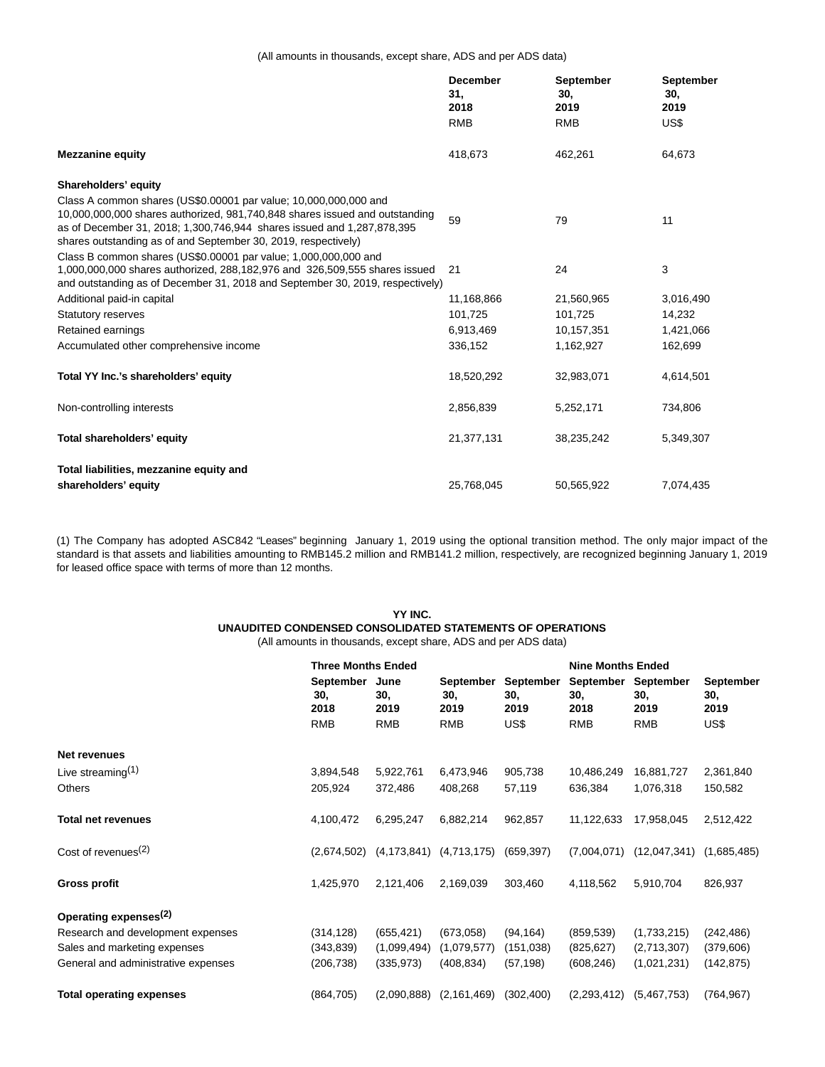#### (All amounts in thousands, except share, ADS and per ADS data)

|                                                                                                                                                                                                                                                                                             | <b>December</b><br>31.<br>2018 | September<br>30.<br>2019 | <b>September</b><br>30.<br>2019 |
|---------------------------------------------------------------------------------------------------------------------------------------------------------------------------------------------------------------------------------------------------------------------------------------------|--------------------------------|--------------------------|---------------------------------|
|                                                                                                                                                                                                                                                                                             | <b>RMB</b>                     | <b>RMB</b>               | US\$                            |
| <b>Mezzanine equity</b>                                                                                                                                                                                                                                                                     | 418,673                        | 462,261                  | 64,673                          |
| Shareholders' equity                                                                                                                                                                                                                                                                        |                                |                          |                                 |
| Class A common shares (US\$0.00001 par value; 10,000,000,000 and<br>10,000,000,000 shares authorized, 981,740,848 shares issued and outstanding<br>as of December 31, 2018; 1,300,746,944 shares issued and 1,287,878,395<br>shares outstanding as of and September 30, 2019, respectively) | 59                             | 79                       | 11                              |
| Class B common shares (US\$0.00001 par value; 1,000,000,000 and<br>1,000,000,000 shares authorized, 288,182,976 and 326,509,555 shares issued<br>and outstanding as of December 31, 2018 and September 30, 2019, respectively)                                                              | 21                             | 24                       | 3                               |
| Additional paid-in capital                                                                                                                                                                                                                                                                  | 11,168,866                     | 21,560,965               | 3,016,490                       |
| <b>Statutory reserves</b>                                                                                                                                                                                                                                                                   | 101,725                        | 101,725                  | 14,232                          |
| Retained earnings                                                                                                                                                                                                                                                                           | 6,913,469                      | 10,157,351               | 1,421,066                       |
| Accumulated other comprehensive income                                                                                                                                                                                                                                                      | 336,152                        | 1,162,927                | 162,699                         |
| Total YY Inc.'s shareholders' equity                                                                                                                                                                                                                                                        | 18,520,292                     | 32,983,071               | 4,614,501                       |
| Non-controlling interests                                                                                                                                                                                                                                                                   | 2,856,839                      | 5,252,171                | 734,806                         |
| Total shareholders' equity                                                                                                                                                                                                                                                                  | 21,377,131                     | 38,235,242               | 5,349,307                       |
| Total liabilities, mezzanine equity and                                                                                                                                                                                                                                                     |                                |                          |                                 |
| shareholders' equity                                                                                                                                                                                                                                                                        | 25.768.045                     | 50.565.922               | 7.074.435                       |

(1) The Company has adopted ASC842 "Leases" beginning January 1, 2019 using the optional transition method. The only major impact of the standard is that assets and liabilities amounting to RMB145.2 million and RMB141.2 million, respectively, are recognized beginning January 1, 2019 for leased office space with terms of more than 12 months.

## **YY INC. UNAUDITED CONDENSED CONSOLIDATED STATEMENTS OF OPERATIONS** (All amounts in thousands, except share, ADS and per ADS data)

|                                              | <b>Three Months Ended</b>       |                     |                          |                          | <b>Nine Months Ended</b> |                          |                          |
|----------------------------------------------|---------------------------------|---------------------|--------------------------|--------------------------|--------------------------|--------------------------|--------------------------|
|                                              | <b>September</b><br>30,<br>2018 | June<br>30,<br>2019 | September<br>30,<br>2019 | September<br>30,<br>2019 | September<br>30,<br>2018 | September<br>30,<br>2019 | September<br>30,<br>2019 |
|                                              | <b>RMB</b>                      | <b>RMB</b>          | <b>RMB</b>               | US\$                     | <b>RMB</b>               | <b>RMB</b>               | US\$                     |
| <b>Net revenues</b>                          |                                 |                     |                          |                          |                          |                          |                          |
| Live streaming $(1)$                         | 3,894,548                       | 5,922,761           | 6,473,946                | 905,738                  | 10,486,249               | 16,881,727               | 2,361,840                |
| Others                                       | 205,924                         | 372,486             | 408,268                  | 57,119                   | 636,384                  | 1,076,318                | 150,582                  |
| <b>Total net revenues</b>                    | 4,100,472                       | 6,295,247           | 6,882,214                | 962,857                  | 11,122,633               | 17,958,045               | 2,512,422                |
| Cost of revenues <sup><math>(2)</math></sup> | (2,674,502)                     | (4, 173, 841)       | (4,713,175)              | (659, 397)               | (7,004,071)              | (12,047,341)             | (1,685,485)              |
| Gross profit                                 | 1,425,970                       | 2,121,406           | 2,169,039                | 303,460                  | 4,118,562                | 5,910,704                | 826,937                  |
| Operating expenses <sup>(2)</sup>            |                                 |                     |                          |                          |                          |                          |                          |
| Research and development expenses            | (314, 128)                      | (655, 421)          | (673,058)                | (94, 164)                | (859, 539)               | (1,733,215)              | (242, 486)               |
| Sales and marketing expenses                 | (343, 839)                      | (1,099,494)         | (1,079,577)              | (151, 038)               | (825, 627)               | (2,713,307)              | (379, 606)               |
| General and administrative expenses          | (206, 738)                      | (335, 973)          | (408, 834)               | (57, 198)                | (608, 246)               | (1,021,231)              | (142, 875)               |
| <b>Total operating expenses</b>              | (864, 705)                      | (2,090,888)         | (2, 161, 469)            | (302, 400)               | (2, 293, 412)            | (5,467,753)              | (764, 967)               |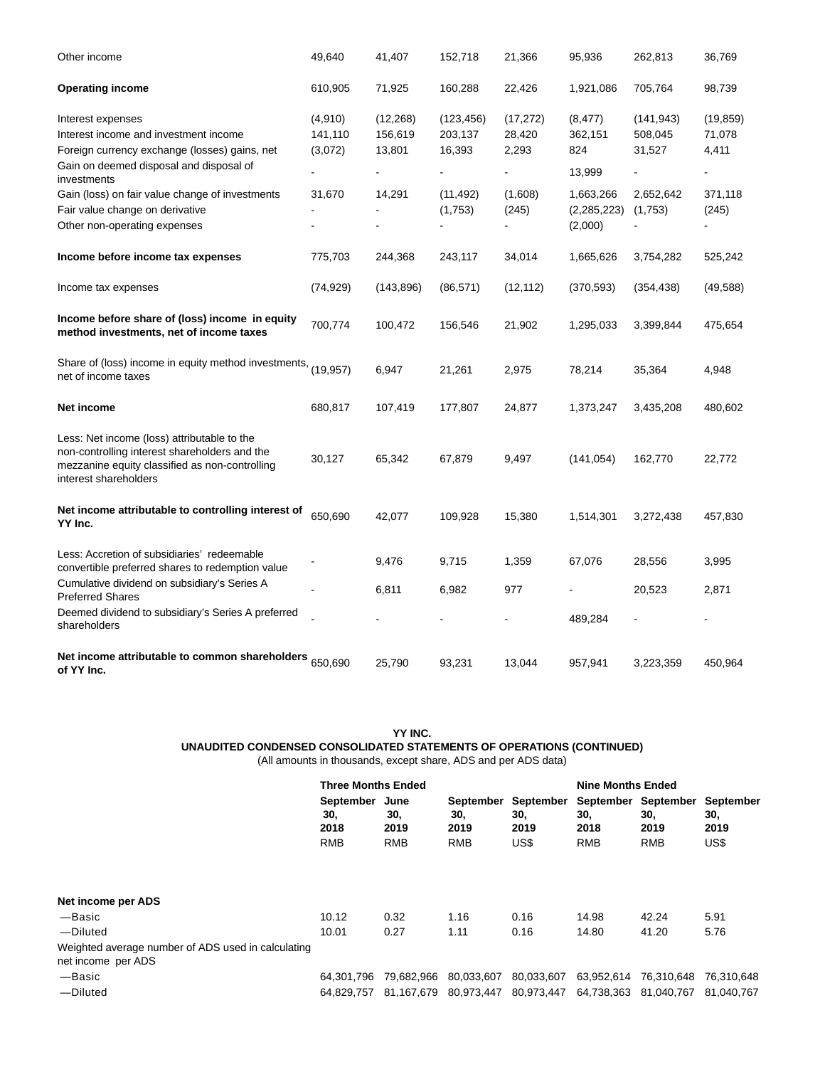| Other income                                                                                                                                                            | 49,640                        | 41,407                         | 152,718                         | 21,366                       | 95,936                                | 262,813                         | 36,769                       |
|-------------------------------------------------------------------------------------------------------------------------------------------------------------------------|-------------------------------|--------------------------------|---------------------------------|------------------------------|---------------------------------------|---------------------------------|------------------------------|
| <b>Operating income</b>                                                                                                                                                 | 610,905                       | 71,925                         | 160,288                         | 22,426                       | 1,921,086                             | 705,764                         | 98,739                       |
| Interest expenses<br>Interest income and investment income<br>Foreign currency exchange (losses) gains, net                                                             | (4,910)<br>141,110<br>(3,072) | (12, 268)<br>156,619<br>13,801 | (123, 456)<br>203,137<br>16,393 | (17, 272)<br>28,420<br>2,293 | (8, 477)<br>362,151<br>824            | (141, 943)<br>508,045<br>31,527 | (19, 859)<br>71,078<br>4,411 |
| Gain on deemed disposal and disposal of<br>investments                                                                                                                  |                               |                                |                                 |                              | 13,999                                |                                 |                              |
| Gain (loss) on fair value change of investments<br>Fair value change on derivative<br>Other non-operating expenses                                                      | 31,670                        | 14,291                         | (11, 492)<br>(1,753)            | (1,608)<br>(245)             | 1,663,266<br>(2, 285, 223)<br>(2,000) | 2,652,642<br>(1,753)            | 371,118<br>(245)             |
| Income before income tax expenses                                                                                                                                       | 775,703                       | 244,368                        | 243,117                         | 34,014                       | 1,665,626                             | 3,754,282                       | 525,242                      |
| Income tax expenses                                                                                                                                                     | (74, 929)                     | (143, 896)                     | (86, 571)                       | (12, 112)                    | (370, 593)                            | (354, 438)                      | (49, 588)                    |
| Income before share of (loss) income in equity<br>method investments, net of income taxes                                                                               | 700,774                       | 100,472                        | 156,546                         | 21,902                       | 1,295,033                             | 3,399,844                       | 475,654                      |
| Share of (loss) income in equity method investments,<br>net of income taxes                                                                                             | (19, 957)                     | 6,947                          | 21,261                          | 2,975                        | 78,214                                | 35,364                          | 4,948                        |
| Net income                                                                                                                                                              | 680,817                       | 107,419                        | 177,807                         | 24,877                       | 1,373,247                             | 3,435,208                       | 480,602                      |
| Less: Net income (loss) attributable to the<br>non-controlling interest shareholders and the<br>mezzanine equity classified as non-controlling<br>interest shareholders | 30,127                        | 65,342                         | 67,879                          | 9,497                        | (141, 054)                            | 162,770                         | 22,772                       |
| Net income attributable to controlling interest of<br>YY Inc.                                                                                                           | 650,690                       | 42,077                         | 109,928                         | 15,380                       | 1,514,301                             | 3,272,438                       | 457,830                      |
| Less: Accretion of subsidiaries' redeemable<br>convertible preferred shares to redemption value                                                                         |                               | 9,476                          | 9,715                           | 1,359                        | 67,076                                | 28,556                          | 3,995                        |
| Cumulative dividend on subsidiary's Series A<br><b>Preferred Shares</b>                                                                                                 |                               | 6,811                          | 6,982                           | 977                          |                                       | 20,523                          | 2,871                        |
| Deemed dividend to subsidiary's Series A preferred<br>shareholders                                                                                                      |                               |                                |                                 |                              | 489,284                               |                                 |                              |
| Net income attributable to common shareholders<br>of YY Inc.                                                                                                            | 650,690                       | 25,790                         | 93,231                          | 13,044                       | 957,941                               | 3,223,359                       | 450,964                      |

**YY INC.**

#### **UNAUDITED CONDENSED CONSOLIDATED STATEMENTS OF OPERATIONS (CONTINUED)**

(All amounts in thousands, except share, ADS and per ADS data)

|                                                                          | <b>Three Months Ended</b> |                                                                                                                   |            |             | <b>Nine Months Ended</b> |            |            |
|--------------------------------------------------------------------------|---------------------------|-------------------------------------------------------------------------------------------------------------------|------------|-------------|--------------------------|------------|------------|
|                                                                          | September<br>30,<br>2018  | September September<br>September<br>September<br>June<br>30,<br>30.<br>30,<br>30.<br>2019<br>2019<br>2019<br>2018 |            | 30,<br>2019 | September<br>30.<br>2019 |            |            |
|                                                                          | <b>RMB</b>                | <b>RMB</b>                                                                                                        | <b>RMB</b> | US\$        | <b>RMB</b>               | <b>RMB</b> | US\$       |
| Net income per ADS                                                       |                           |                                                                                                                   |            |             |                          |            |            |
| $-$ Basic                                                                | 10.12                     | 0.32                                                                                                              | 1.16       | 0.16        | 14.98                    | 42.24      | 5.91       |
| -Diluted                                                                 | 10.01                     | 0.27                                                                                                              | 1.11       | 0.16        | 14.80                    | 41.20      | 5.76       |
| Weighted average number of ADS used in calculating<br>net income per ADS |                           |                                                                                                                   |            |             |                          |            |            |
| $-$ Basic                                                                | 64.301.796                | 79.682.966                                                                                                        | 80,033,607 | 80,033,607  | 63,952,614               | 76.310.648 | 76.310.648 |
| -Diluted                                                                 | 64.829.757                | 81.167.679                                                                                                        | 80,973,447 | 80,973,447  | 64,738,363               | 81.040.767 | 81.040.767 |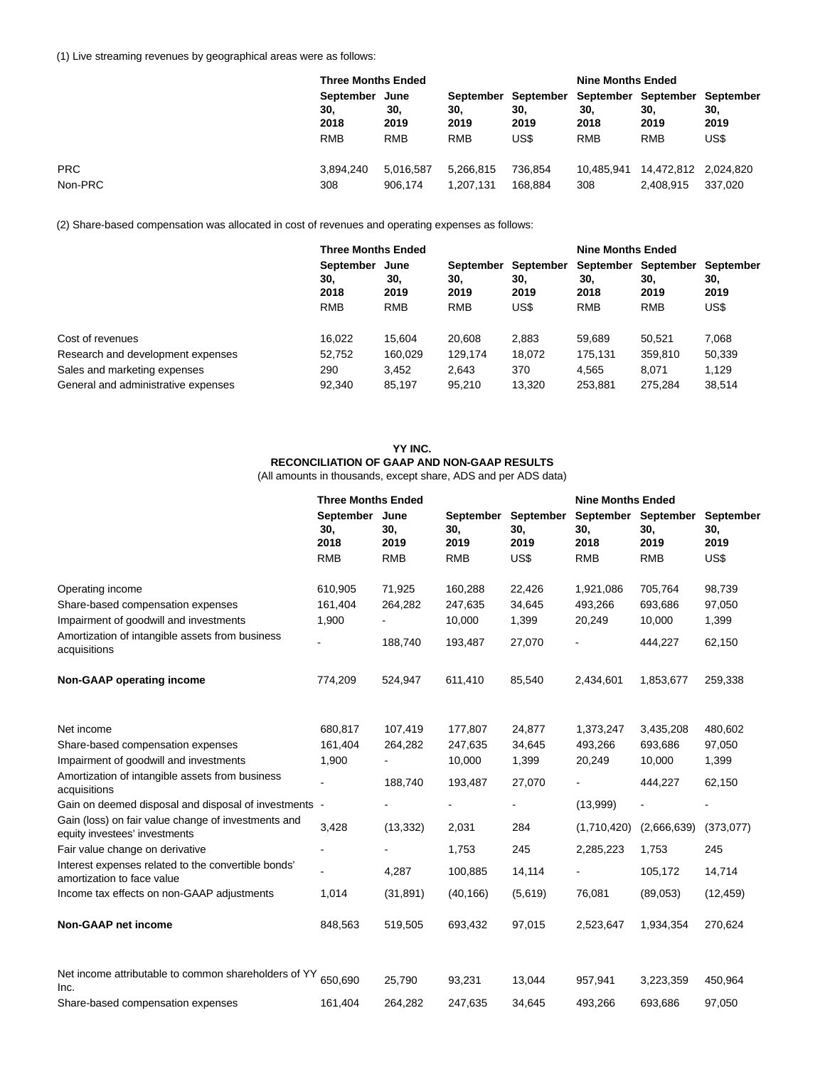(1) Live streaming revenues by geographical areas were as follows:

|                       | <b>Three Months Ended</b>              |                                   |                           | <b>Nine Months Ended</b>                   |                                                  |                                   |                                  |
|-----------------------|----------------------------------------|-----------------------------------|---------------------------|--------------------------------------------|--------------------------------------------------|-----------------------------------|----------------------------------|
|                       | September<br>30,<br>2018<br><b>RMB</b> | June<br>30,<br>2019<br><b>RMB</b> | 30,<br>2019<br><b>RMB</b> | September September<br>30,<br>2019<br>US\$ | September September<br>30.<br>2018<br><b>RMB</b> | 30,<br>2019<br><b>RMB</b>         | September<br>30.<br>2019<br>US\$ |
| <b>PRC</b><br>Non-PRC | 3.894.240<br>308                       | 5.016.587<br>906.174              | 5.266.815<br>1.207.131    | 736.854<br>168.884                         | 10.485.941<br>308                                | 14.472.812 2.024.820<br>2.408.915 | 337.020                          |

(2) Share-based compensation was allocated in cost of revenues and operating expenses as follows:

|                                     | <b>Three Months Ended</b> |                     |                                                                                                        | <b>Nine Months Ended</b> |                          |            |        |
|-------------------------------------|---------------------------|---------------------|--------------------------------------------------------------------------------------------------------|--------------------------|--------------------------|------------|--------|
|                                     | September<br>30,<br>2018  | June<br>30,<br>2019 | <b>September</b><br>September<br>September<br>30,<br>30.<br>30.<br>30.<br>2019<br>2018<br>2019<br>2019 | September                | September<br>30,<br>2019 |            |        |
|                                     | <b>RMB</b>                | <b>RMB</b>          | <b>RMB</b>                                                                                             | US\$                     | <b>RMB</b>               | <b>RMB</b> | US\$   |
| Cost of revenues                    | 16.022                    | 15.604              | 20,608                                                                                                 | 2,883                    | 59,689                   | 50.521     | 7.068  |
| Research and development expenses   | 52,752                    | 160,029             | 129.174                                                                                                | 18,072                   | 175,131                  | 359.810    | 50,339 |
| Sales and marketing expenses        | 290                       | 3.452               | 2.643                                                                                                  | 370                      | 4.565                    | 8.071      | 1.129  |
| General and administrative expenses | 92,340                    | 85.197              | 95.210                                                                                                 | 13.320                   | 253.881                  | 275,284    | 38,514 |

## **YY INC. RECONCILIATION OF GAAP AND NON-GAAP RESULTS** (All amounts in thousands, except share, ADS and per ADS data)

|                                                                                                                                                                                                                                                                                                               | <b>Three Months Ended</b>                     |                                            |                                                  | <b>Nine Months Ended</b>                   |                                                           |                                                          |                                                   |
|---------------------------------------------------------------------------------------------------------------------------------------------------------------------------------------------------------------------------------------------------------------------------------------------------------------|-----------------------------------------------|--------------------------------------------|--------------------------------------------------|--------------------------------------------|-----------------------------------------------------------|----------------------------------------------------------|---------------------------------------------------|
|                                                                                                                                                                                                                                                                                                               | <b>September</b><br>30,<br>2018<br><b>RMB</b> | June<br>30,<br>2019<br><b>RMB</b>          | September<br>30,<br>2019<br><b>RMB</b>           | September<br>30,<br>2019<br>US\$           | September<br>30,<br>2018<br><b>RMB</b>                    | September<br>30,<br>2019<br><b>RMB</b>                   | September<br>30,<br>2019<br>US\$                  |
| Operating income<br>Share-based compensation expenses<br>Impairment of goodwill and investments<br>Amortization of intangible assets from business<br>acquisitions                                                                                                                                            | 610,905<br>161,404<br>1,900                   | 71,925<br>264,282<br>188,740               | 160,288<br>247,635<br>10,000<br>193,487          | 22,426<br>34,645<br>1,399<br>27,070        | 1,921,086<br>493,266<br>20,249                            | 705,764<br>693,686<br>10,000<br>444,227                  | 98,739<br>97,050<br>1,399<br>62,150               |
| Non-GAAP operating income                                                                                                                                                                                                                                                                                     | 774,209                                       | 524,947                                    | 611,410                                          | 85,540                                     | 2,434,601                                                 | 1,853,677                                                | 259,338                                           |
| Net income<br>Share-based compensation expenses<br>Impairment of goodwill and investments<br>Amortization of intangible assets from business<br>acquisitions<br>Gain on deemed disposal and disposal of investments -<br>Gain (loss) on fair value change of investments and<br>equity investees' investments | 680,817<br>161,404<br>1,900<br>3,428          | 107,419<br>264,282<br>188,740<br>(13, 332) | 177,807<br>247,635<br>10,000<br>193,487<br>2,031 | 24,877<br>34,645<br>1,399<br>27,070<br>284 | 1,373,247<br>493,266<br>20,249<br>(13,999)<br>(1,710,420) | 3,435,208<br>693,686<br>10,000<br>444,227<br>(2,666,639) | 480,602<br>97,050<br>1,399<br>62,150<br>(373,077) |
| Fair value change on derivative<br>Interest expenses related to the convertible bonds'<br>amortization to face value<br>Income tax effects on non-GAAP adjustments                                                                                                                                            | $\blacksquare$<br>1,014                       | 4,287<br>(31, 891)                         | 1,753<br>100,885<br>(40, 166)                    | 245<br>14,114<br>(5,619)                   | 2,285,223<br>$\overline{\phantom{0}}$<br>76,081           | 1,753<br>105,172<br>(89,053)                             | 245<br>14,714<br>(12, 459)                        |
| <b>Non-GAAP net income</b>                                                                                                                                                                                                                                                                                    | 848,563                                       | 519,505                                    | 693,432                                          | 97,015                                     | 2,523,647                                                 | 1,934,354                                                | 270,624                                           |
| Net income attributable to common shareholders of YY<br>Inc.<br>Share-based compensation expenses                                                                                                                                                                                                             | 650,690<br>161,404                            | 25,790<br>264,282                          | 93,231<br>247,635                                | 13,044<br>34,645                           | 957,941<br>493,266                                        | 3,223,359<br>693,686                                     | 450,964<br>97,050                                 |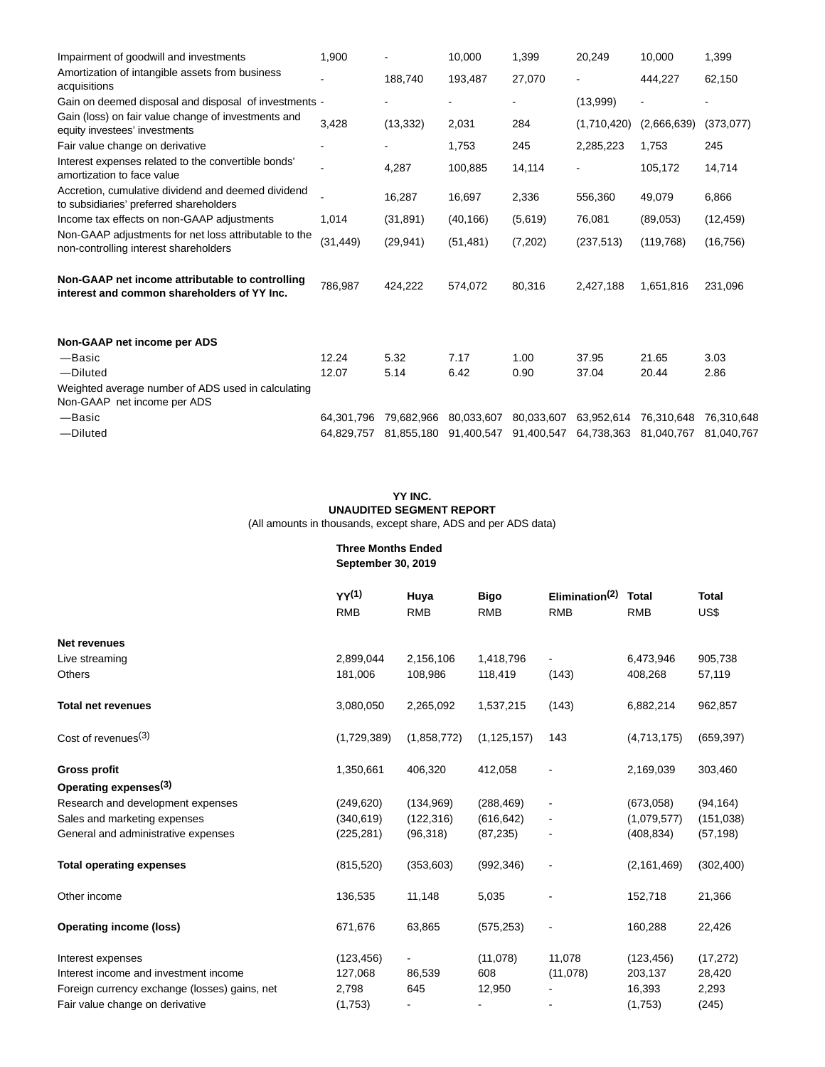| Impairment of goodwill and investments                                                         | 1,900      |            | 10,000     | 1,399      | 20,249      | 10,000      | 1,399      |
|------------------------------------------------------------------------------------------------|------------|------------|------------|------------|-------------|-------------|------------|
| Amortization of intangible assets from business<br>acquisitions                                |            | 188,740    | 193,487    | 27,070     |             | 444,227     | 62,150     |
| Gain on deemed disposal and disposal of investments -                                          |            |            |            |            | (13,999)    |             |            |
| Gain (loss) on fair value change of investments and<br>equity investees' investments           | 3,428      | (13, 332)  | 2,031      | 284        | (1,710,420) | (2,666,639) | (373,077)  |
| Fair value change on derivative                                                                |            |            | 1,753      | 245        | 2,285,223   | 1,753       | 245        |
| Interest expenses related to the convertible bonds'<br>amortization to face value              |            | 4,287      | 100,885    | 14,114     |             | 105,172     | 14,714     |
| Accretion, cumulative dividend and deemed dividend<br>to subsidiaries' preferred shareholders  |            | 16,287     | 16,697     | 2,336      | 556,360     | 49,079      | 6,866      |
| Income tax effects on non-GAAP adjustments                                                     | 1,014      | (31, 891)  | (40, 166)  | (5,619)    | 76,081      | (89,053)    | (12, 459)  |
| Non-GAAP adjustments for net loss attributable to the<br>non-controlling interest shareholders | (31, 449)  | (29, 941)  | (51, 481)  | (7,202)    | (237, 513)  | (119, 768)  | (16, 756)  |
| Non-GAAP net income attributable to controlling<br>interest and common shareholders of YY Inc. | 786,987    | 424,222    | 574,072    | 80,316     | 2,427,188   | 1,651,816   | 231,096    |
| Non-GAAP net income per ADS                                                                    |            |            |            |            |             |             |            |
| -Basic                                                                                         | 12.24      | 5.32       | 7.17       | 1.00       | 37.95       | 21.65       | 3.03       |
| -Diluted                                                                                       | 12.07      | 5.14       | 6.42       | 0.90       | 37.04       | 20.44       | 2.86       |
| Weighted average number of ADS used in calculating<br>Non-GAAP net income per ADS              |            |            |            |            |             |             |            |
| -Basic                                                                                         | 64.301.796 | 79.682.966 | 80,033,607 | 80,033,607 | 63,952,614  | 76.310.648  | 76.310.648 |
| -Diluted                                                                                       | 64.829.757 | 81.855.180 | 91.400.547 | 91,400,547 | 64,738,363  | 81.040.767  | 81.040.767 |

# **YY INC. UNAUDITED SEGMENT REPORT**

(All amounts in thousands, except share, ADS and per ADS data)

# **Three Months Ended September 30, 2019**

|                                               | YY <sup>(1)</sup><br><b>RMB</b> | Huya<br><b>RMB</b> | <b>Bigo</b><br><b>RMB</b> | Elimination <sup>(2)</sup><br><b>RMB</b> | <b>Total</b><br><b>RMB</b> | <b>Total</b><br>US\$ |
|-----------------------------------------------|---------------------------------|--------------------|---------------------------|------------------------------------------|----------------------------|----------------------|
| <b>Net revenues</b>                           |                                 |                    |                           |                                          |                            |                      |
| Live streaming                                | 2,899,044                       | 2,156,106          | 1,418,796                 |                                          | 6,473,946                  | 905,738              |
| <b>Others</b>                                 | 181,006                         | 108,986            | 118,419                   | (143)                                    | 408,268                    | 57,119               |
| <b>Total net revenues</b>                     | 3,080,050                       | 2,265,092          | 1,537,215                 | (143)                                    | 6,882,214                  | 962,857              |
| Cost of revenues $(3)$                        | (1,729,389)                     | (1,858,772)        | (1, 125, 157)             | 143                                      | (4,713,175)                | (659, 397)           |
| <b>Gross profit</b>                           | 1,350,661                       | 406,320            | 412,058                   |                                          | 2,169,039                  | 303,460              |
| Operating expenses <sup>(3)</sup>             |                                 |                    |                           |                                          |                            |                      |
| Research and development expenses             | (249, 620)                      | (134, 969)         | (288, 469)                |                                          | (673,058)                  | (94, 164)            |
| Sales and marketing expenses                  | (340, 619)                      | (122, 316)         | (616, 642)                |                                          | (1,079,577)                | (151, 038)           |
| General and administrative expenses           | (225, 281)                      | (96,318)           | (87, 235)                 |                                          | (408, 834)                 | (57, 198)            |
| <b>Total operating expenses</b>               | (815, 520)                      | (353,603)          | (992, 346)                |                                          | (2, 161, 469)              | (302, 400)           |
| Other income                                  | 136,535                         | 11,148             | 5,035                     |                                          | 152,718                    | 21,366               |
| <b>Operating income (loss)</b>                | 671,676                         | 63,865             | (575, 253)                |                                          | 160,288                    | 22,426               |
| Interest expenses                             | (123, 456)                      | $\blacksquare$     | (11,078)                  | 11,078                                   | (123, 456)                 | (17, 272)            |
| Interest income and investment income         | 127,068                         | 86,539             | 608                       | (11,078)                                 | 203,137                    | 28,420               |
| Foreign currency exchange (losses) gains, net | 2,798                           | 645                | 12,950                    |                                          | 16,393                     | 2,293                |
| Fair value change on derivative               | (1,753)                         |                    |                           |                                          | (1,753)                    | (245)                |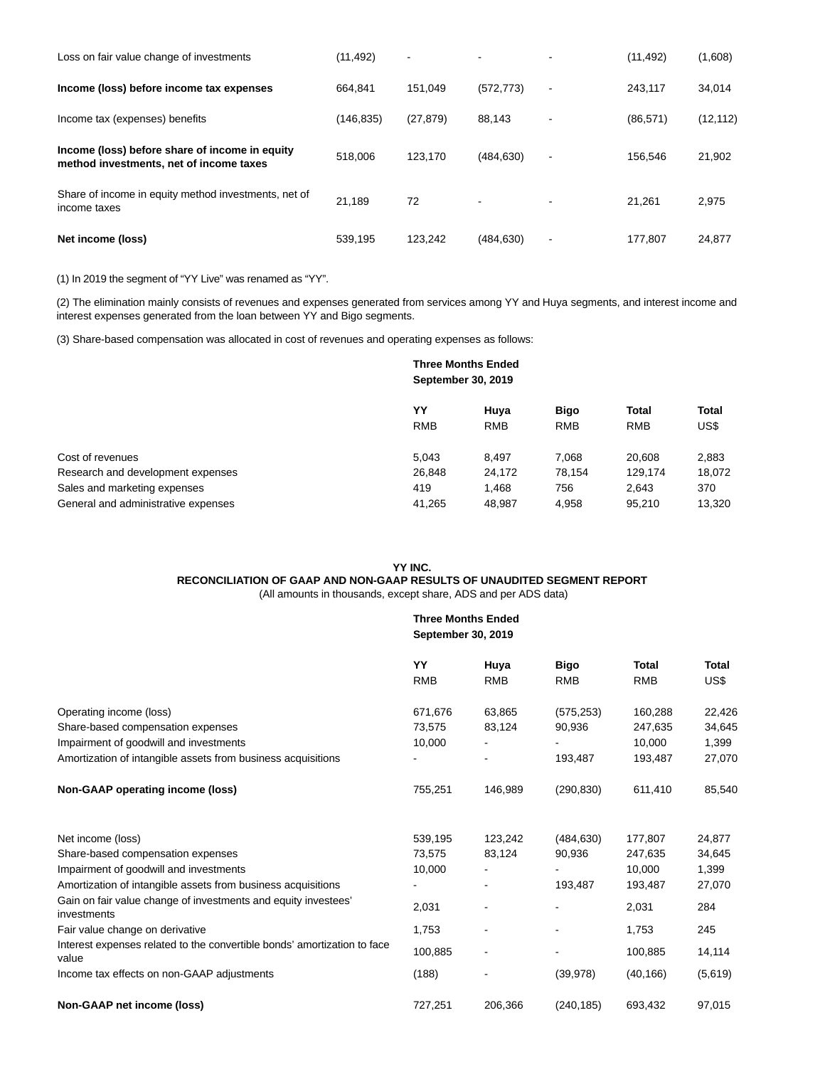| Net income (loss)                                                                         | 539.195    | 123.242        | (484, 630)               | $\overline{\phantom{a}}$ | 177.807   | 24,877    |
|-------------------------------------------------------------------------------------------|------------|----------------|--------------------------|--------------------------|-----------|-----------|
| Share of income in equity method investments, net of<br>income taxes                      | 21.189     | 72             | $\overline{\phantom{a}}$ | $\overline{\phantom{a}}$ | 21.261    | 2,975     |
| Income (loss) before share of income in equity<br>method investments, net of income taxes | 518,006    | 123.170        | (484, 630)               | $\overline{\phantom{a}}$ | 156.546   | 21,902    |
| Income tax (expenses) benefits                                                            | (146, 835) | (27, 879)      | 88,143                   |                          | (86, 571) | (12, 112) |
| Income (loss) before income tax expenses                                                  | 664.841    | 151.049        | (572, 773)               | $\blacksquare$           | 243.117   | 34,014    |
| Loss on fair value change of investments                                                  | (11, 492)  | $\blacksquare$ | $\overline{\phantom{0}}$ |                          | (11, 492) | (1,608)   |

(1) In 2019 the segment of "YY Live" was renamed as "YY".

(2) The elimination mainly consists of revenues and expenses generated from services among YY and Huya segments, and interest income and interest expenses generated from the loan between YY and Bigo segments.

**Three Months Ended**

(3) Share-based compensation was allocated in cost of revenues and operating expenses as follows:

|                                     | September 30, 2019 |            |             |              |              |  |  |
|-------------------------------------|--------------------|------------|-------------|--------------|--------------|--|--|
|                                     | YY                 | Huya       | <b>Bigo</b> | <b>Total</b> | <b>Total</b> |  |  |
|                                     | <b>RMB</b>         | <b>RMB</b> | <b>RMB</b>  | <b>RMB</b>   | US\$         |  |  |
| Cost of revenues                    | 5.043              | 8.497      | 7.068       | 20.608       | 2.883        |  |  |
| Research and development expenses   | 26,848             | 24.172     | 78.154      | 129.174      | 18,072       |  |  |
| Sales and marketing expenses        | 419                | 1.468      | 756         | 2.643        | 370          |  |  |
| General and administrative expenses | 41,265             | 48,987     | 4.958       | 95.210       | 13,320       |  |  |

## **YY INC. RECONCILIATION OF GAAP AND NON-GAAP RESULTS OF UNAUDITED SEGMENT REPORT** (All amounts in thousands, except share, ADS and per ADS data)

|                                                                                   | <b>Three Months Ended</b><br>September 30, 2019 |                    |                           |                            |                      |
|-----------------------------------------------------------------------------------|-------------------------------------------------|--------------------|---------------------------|----------------------------|----------------------|
|                                                                                   | YY<br><b>RMB</b>                                | Huya<br><b>RMB</b> | <b>Bigo</b><br><b>RMB</b> | <b>Total</b><br><b>RMB</b> | <b>Total</b><br>US\$ |
| Operating income (loss)                                                           | 671,676                                         | 63,865             | (575, 253)                | 160,288                    | 22,426               |
| Share-based compensation expenses                                                 | 73,575                                          | 83,124             | 90,936                    | 247,635                    | 34,645               |
| Impairment of goodwill and investments                                            | 10,000                                          |                    |                           | 10,000                     | 1,399                |
| Amortization of intangible assets from business acquisitions                      |                                                 |                    | 193,487                   | 193,487                    | 27,070               |
| <b>Non-GAAP operating income (loss)</b>                                           | 755,251                                         | 146,989            | (290, 830)                | 611,410                    | 85,540               |
| Net income (loss)                                                                 | 539,195                                         | 123,242            | (484, 630)                | 177,807                    | 24,877               |
| Share-based compensation expenses                                                 | 73,575                                          | 83,124             | 90,936                    | 247,635                    | 34,645               |
| Impairment of goodwill and investments                                            | 10,000                                          |                    |                           | 10,000                     | 1,399                |
| Amortization of intangible assets from business acquisitions                      |                                                 |                    | 193,487                   | 193,487                    | 27,070               |
| Gain on fair value change of investments and equity investees'<br>investments     | 2,031                                           |                    |                           | 2,031                      | 284                  |
| Fair value change on derivative                                                   | 1,753                                           |                    |                           | 1,753                      | 245                  |
| Interest expenses related to the convertible bonds' amortization to face<br>value | 100.885                                         |                    |                           | 100,885                    | 14,114               |
| Income tax effects on non-GAAP adjustments                                        | (188)                                           |                    | (39, 978)                 | (40, 166)                  | (5,619)              |
| Non-GAAP net income (loss)                                                        | 727,251                                         | 206,366            | (240, 185)                | 693,432                    | 97,015               |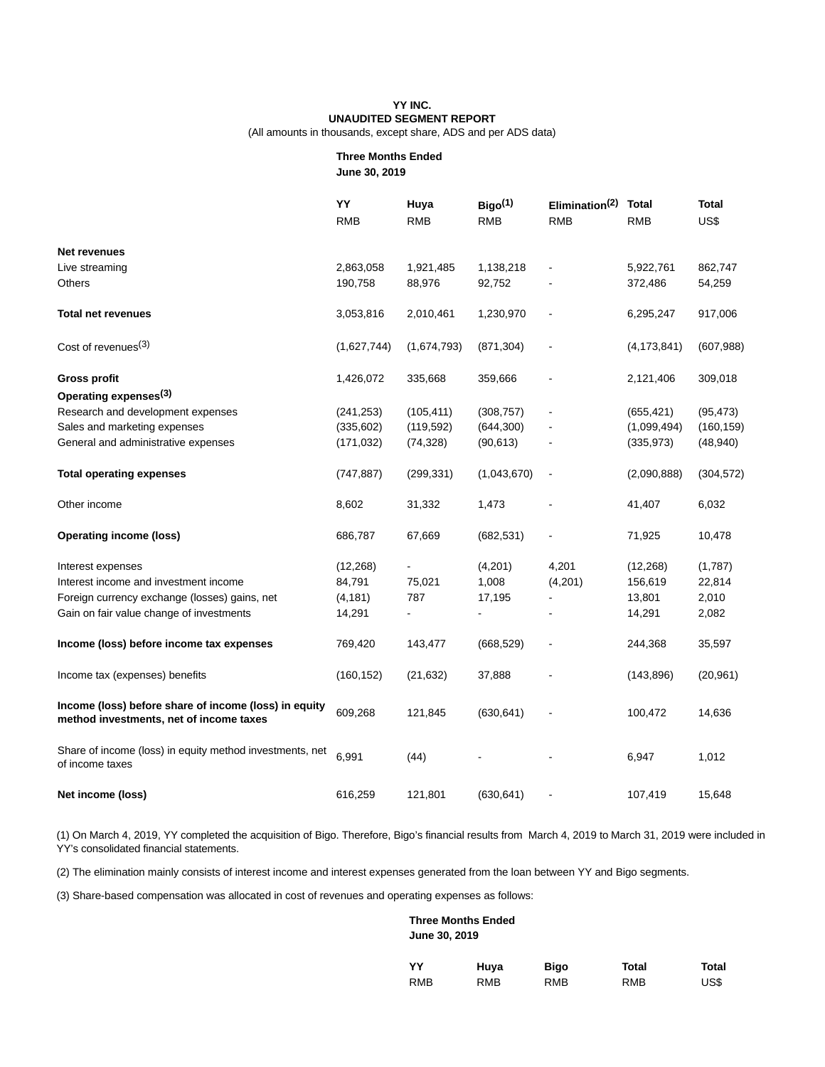## **YY INC. UNAUDITED SEGMENT REPORT**

(All amounts in thousands, except share, ADS and per ADS data)

# **Three Months Ended**

| June 30, 2019 |  |  |  |
|---------------|--|--|--|
|---------------|--|--|--|

|                                                                                                  | YY<br><b>RMB</b> | Huya<br><b>RMB</b> | Bigo <sup>(1)</sup><br><b>RMB</b> | Elimination <sup>(2)</sup><br><b>RMB</b> | <b>Total</b><br><b>RMB</b> | <b>Total</b><br>US\$ |
|--------------------------------------------------------------------------------------------------|------------------|--------------------|-----------------------------------|------------------------------------------|----------------------------|----------------------|
| <b>Net revenues</b>                                                                              |                  |                    |                                   |                                          |                            |                      |
| Live streaming                                                                                   | 2,863,058        | 1,921,485          | 1,138,218                         |                                          | 5,922,761                  | 862,747              |
| Others                                                                                           | 190,758          | 88,976             | 92,752                            |                                          | 372,486                    | 54,259               |
| <b>Total net revenues</b>                                                                        | 3,053,816        | 2,010,461          | 1,230,970                         |                                          | 6,295,247                  | 917,006              |
| Cost of revenues $(3)$                                                                           | (1,627,744)      | (1,674,793)        | (871, 304)                        |                                          | (4, 173, 841)              | (607, 988)           |
| <b>Gross profit</b>                                                                              | 1,426,072        | 335,668            | 359,666                           |                                          | 2,121,406                  | 309,018              |
| Operating expenses <sup>(3)</sup>                                                                |                  |                    |                                   |                                          |                            |                      |
| Research and development expenses                                                                | (241, 253)       | (105, 411)         | (308, 757)                        |                                          | (655, 421)                 | (95, 473)            |
| Sales and marketing expenses                                                                     | (335, 602)       | (119, 592)         | (644, 300)                        |                                          | (1,099,494)                | (160, 159)           |
| General and administrative expenses                                                              | (171, 032)       | (74, 328)          | (90, 613)                         |                                          | (335, 973)                 | (48, 940)            |
| <b>Total operating expenses</b>                                                                  | (747, 887)       | (299, 331)         | (1,043,670)                       |                                          | (2,090,888)                | (304, 572)           |
| Other income                                                                                     | 8,602            | 31,332             | 1,473                             |                                          | 41,407                     | 6,032                |
| Operating income (loss)                                                                          | 686,787          | 67,669             | (682, 531)                        |                                          | 71,925                     | 10,478               |
| Interest expenses                                                                                | (12, 268)        |                    | (4,201)                           | 4,201                                    | (12, 268)                  | (1,787)              |
| Interest income and investment income                                                            | 84,791           | 75,021             | 1,008                             | (4,201)                                  | 156,619                    | 22,814               |
| Foreign currency exchange (losses) gains, net                                                    | (4, 181)         | 787                | 17,195                            |                                          | 13,801                     | 2,010                |
| Gain on fair value change of investments                                                         | 14,291           |                    |                                   |                                          | 14,291                     | 2,082                |
| Income (loss) before income tax expenses                                                         | 769,420          | 143,477            | (668, 529)                        |                                          | 244,368                    | 35,597               |
| Income tax (expenses) benefits                                                                   | (160, 152)       | (21, 632)          | 37,888                            |                                          | (143, 896)                 | (20, 961)            |
| Income (loss) before share of income (loss) in equity<br>method investments, net of income taxes | 609,268          | 121,845            | (630, 641)                        |                                          | 100,472                    | 14,636               |
| Share of income (loss) in equity method investments, net<br>of income taxes                      | 6,991            | (44)               |                                   |                                          | 6,947                      | 1,012                |
| Net income (loss)                                                                                | 616,259          | 121,801            | (630, 641)                        |                                          | 107,419                    | 15,648               |

(1) On March 4, 2019, YY completed the acquisition of Bigo. Therefore, Bigo's financial results from March 4, 2019 to March 31, 2019 were included in YY's consolidated financial statements.

(2) The elimination mainly consists of interest income and interest expenses generated from the loan between YY and Bigo segments.

(3) Share-based compensation was allocated in cost of revenues and operating expenses as follows:

## **Three Months Ended June 30, 2019**

| YY  | Huya | Bigo | Total | Total |
|-----|------|------|-------|-------|
| RMB | RMB  | RMB  | RMB   | US\$  |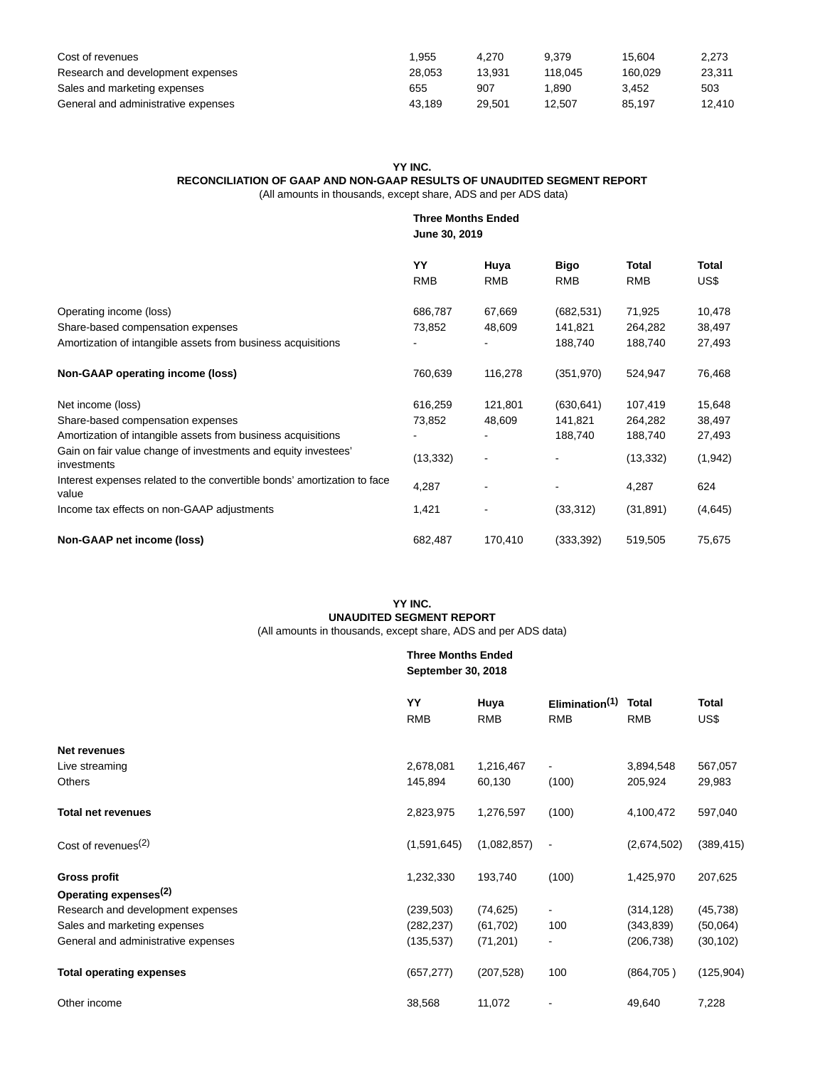| Cost of revenues                    | .955   | 4.270  | 9.379   | 15.604  | 2.273  |
|-------------------------------------|--------|--------|---------|---------|--------|
| Research and development expenses   | 28.053 | 13.931 | 118,045 | 160.029 | 23.311 |
| Sales and marketing expenses        | 655    | 907    | .890    | 3.452   | 503    |
| General and administrative expenses | 43.189 | 29.501 | 12.507  | 85.197  | 12.410 |

## **YY INC. RECONCILIATION OF GAAP AND NON-GAAP RESULTS OF UNAUDITED SEGMENT REPORT** (All amounts in thousands, except share, ADS and per ADS data)

**Three Months Ended June 30, 2019 YY Huya Bigo Total Total** RMB RMB RMB RMB US\$ Operating income (loss) 686,787 67,669 (682,531) 71,925 10,478 Share-based compensation expenses 73,852 48,609 141,821 264,282 38,497 Amortization of intangible assets from business acquisitions **-** 188,740 188,740 27,493 **Non-GAAP operating income (loss)** 760,639 116,278 (351,970) 524,947 76,468 Net income (loss) 616,259 121,801 (630,641) 107,419 15,648 Share-based compensation expenses 73,852 48,609 141,821 264,282 38,497 Amortization of intangible assets from business acquisitions and the control of the state of the 188,740 27,493 Gain on fair value change of investments and equity investees' oain of rail value change of investments and equity investors (13,332) (13,332) (1,942)<br>investments Interest expenses related to the convertible bonds' amortization to face  $\begin{array}{ccc} 4,287 & - & - & - & 4,287 \end{array}$ Income tax effects on non-GAAP adjustments 1,421 - (33,312) (31,891) (4,645) **Non-GAAP net income (loss)** 682,487 170,410 (333,392) 519,505 75,675

## **YY INC. UNAUDITED SEGMENT REPORT** (All amounts in thousands, except share, ADS and per ADS data)

# **Three Months Ended September 30, 2018**

|                                              | YY<br><b>RMB</b> | Huya<br><b>RMB</b> | Elimination <sup>(1)</sup><br><b>RMB</b> | Total<br><b>RMB</b> | <b>Total</b><br>US\$ |
|----------------------------------------------|------------------|--------------------|------------------------------------------|---------------------|----------------------|
| Net revenues                                 |                  |                    |                                          |                     |                      |
| Live streaming                               | 2,678,081        | 1,216,467          |                                          | 3,894,548           | 567,057              |
| Others                                       | 145,894          | 60,130             | (100)                                    | 205,924             | 29,983               |
| <b>Total net revenues</b>                    | 2,823,975        | 1,276,597          | (100)                                    | 4,100,472           | 597,040              |
| Cost of revenues <sup><math>(2)</math></sup> | (1,591,645)      | (1,082,857)        | $\blacksquare$                           | (2,674,502)         | (389, 415)           |
| <b>Gross profit</b>                          | 1,232,330        | 193,740            | (100)                                    | 1,425,970           | 207,625              |
| Operating expenses <sup>(2)</sup>            |                  |                    |                                          |                     |                      |
| Research and development expenses            | (239, 503)       | (74, 625)          | $\overline{\phantom{a}}$                 | (314, 128)          | (45, 738)            |
| Sales and marketing expenses                 | (282, 237)       | (61, 702)          | 100                                      | (343, 839)          | (50,064)             |
| General and administrative expenses          | (135, 537)       | (71, 201)          | $\overline{\phantom{a}}$                 | (206, 738)          | (30, 102)            |
| <b>Total operating expenses</b>              | (657, 277)       | (207, 528)         | 100                                      | (864, 705)          | (125, 904)           |
| Other income                                 | 38,568           | 11,072             |                                          | 49,640              | 7,228                |